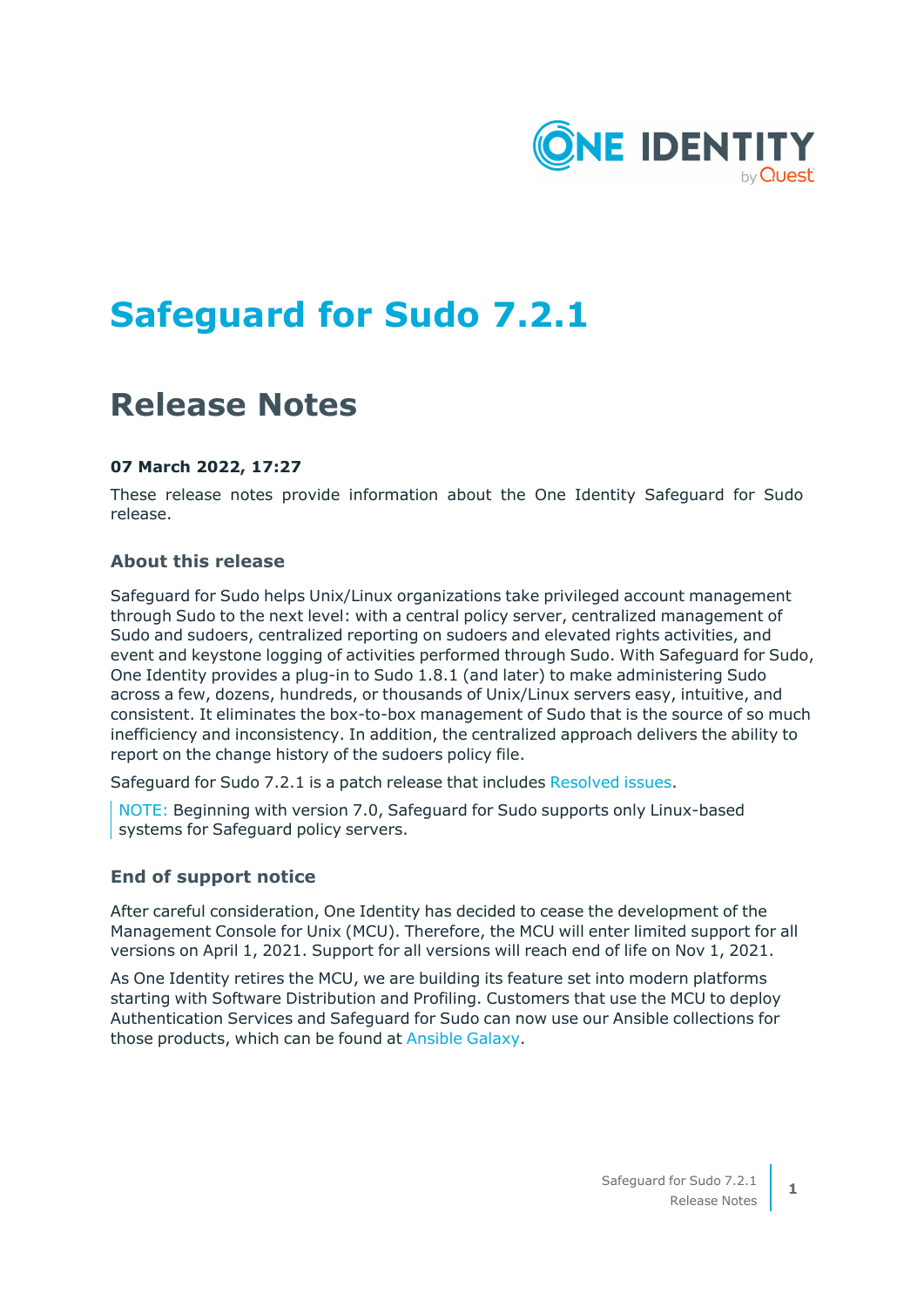

# **Safeguard for Sudo 7.2.1**

### **Release Notes**

#### **07 March 2022, 17:27**

These release notes provide information about the One Identity Safeguard for Sudo release.

#### **About this release**

Safeguard for Sudo helps Unix/Linux organizations take privileged account management through Sudo to the next level: with a central policy server, centralized management of Sudo and sudoers, centralized reporting on sudoers and elevated rights activities, and event and keystone logging of activities performed through Sudo. With Safeguard for Sudo, One Identity provides a plug-in to Sudo 1.8.1 (and later) to make administering Sudo across a few, dozens, hundreds, or thousands of Unix/Linux servers easy, intuitive, and consistent. It eliminates the box-to-box management of Sudo that is the source of so much inefficiency and inconsistency. In addition, the centralized approach delivers the ability to report on the change history of the sudoers policy file.

Safeguard for Sudo 7.2.1 is a patch release that includes [Resolved](#page-1-0) issues.

NOTE: Beginning with version 7.0, Safeguard for Sudo supports only Linux-based systems for Safeguard policy servers.

#### **End of support notice**

After careful consideration, One Identity has decided to cease the development of the Management Console for Unix (MCU). Therefore, the MCU will enter limited support for all versions on April 1, 2021. Support for all versions will reach end of life on Nov 1, 2021.

As One Identity retires the MCU, we are building its feature set into modern platforms starting with Software Distribution and Profiling. Customers that use the MCU to deploy Authentication Services and Safeguard for Sudo can now use our Ansible collections for those products, which can be found at [Ansible](https://galaxy.ansible.com/search?deprecated=false&keywords=%22oneidentity%22&order_by=-relevance&page=1) Galaxy.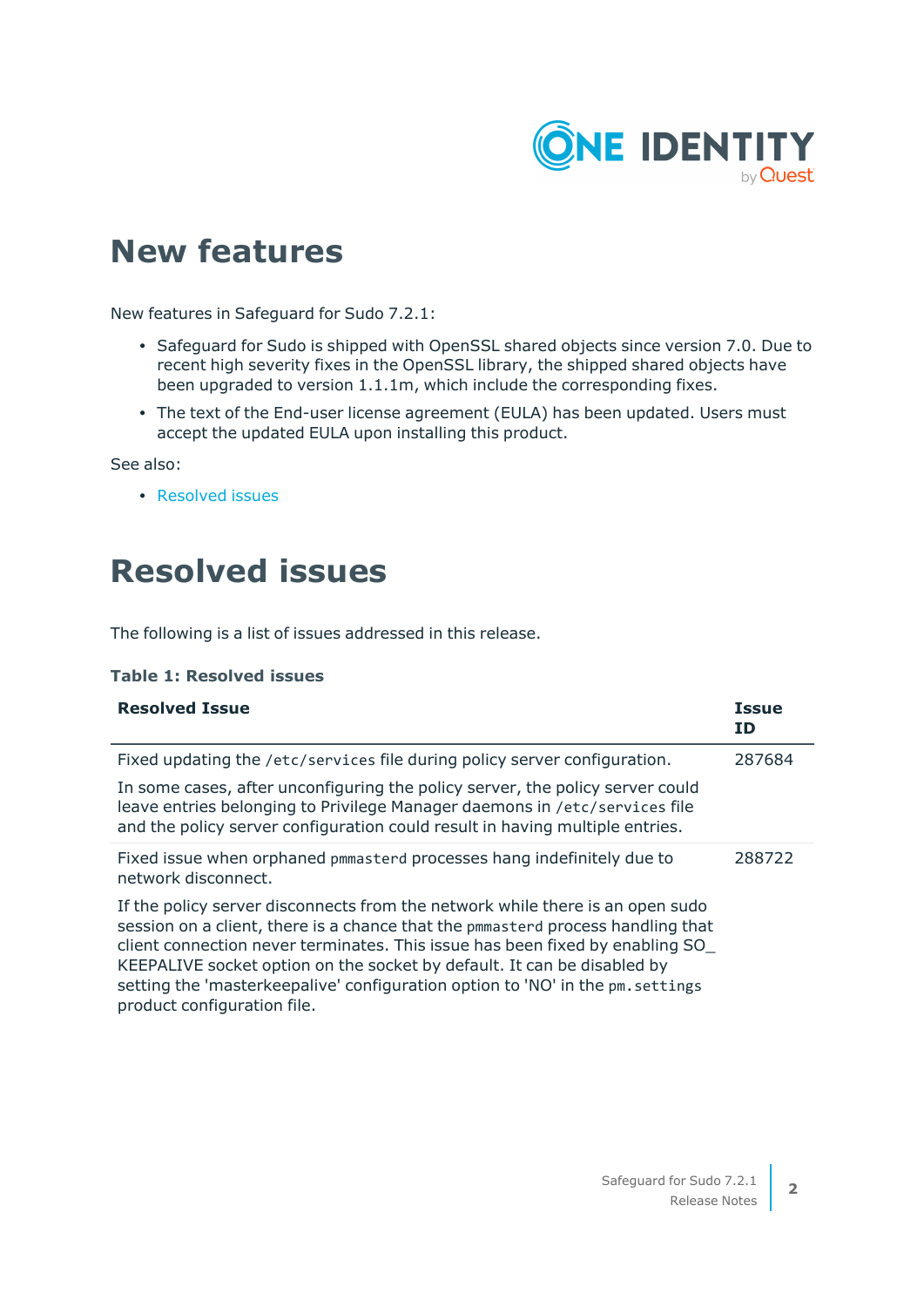

### **New features**

New features in Safeguard for Sudo 7.2.1:

- Safeguard for Sudo is shipped with OpenSSL shared objects since version 7.0. Due to recent high severity fixes in the OpenSSL library, the shipped shared objects have been upgraded to version 1.1.1m, which include the corresponding fixes.
- The text of the End-user license agreement (EULA) has been updated. Users must accept the updated EULA upon installing this product.

See also:

• [Resolved](#page-1-0) issues

### <span id="page-1-0"></span>**Resolved issues**

The following is a list of issues addressed in this release.

#### **Table 1: Resolved issues**

| <b>Resolved Issue</b>                                                                                                                                                                                                                                                                                                                                                                                                                        | <b>Issue</b><br>ΙD |
|----------------------------------------------------------------------------------------------------------------------------------------------------------------------------------------------------------------------------------------------------------------------------------------------------------------------------------------------------------------------------------------------------------------------------------------------|--------------------|
| Fixed updating the /etc/services file during policy server configuration.                                                                                                                                                                                                                                                                                                                                                                    | 287684             |
| In some cases, after unconfiguring the policy server, the policy server could<br>leave entries belonging to Privilege Manager daemons in /etc/services file<br>and the policy server configuration could result in having multiple entries.                                                                                                                                                                                                  |                    |
| Fixed issue when orphaned pmmasterd processes hang indefinitely due to<br>network disconnect.                                                                                                                                                                                                                                                                                                                                                | 288722             |
| If the policy server disconnects from the network while there is an open sudo<br>session on a client, there is a chance that the pmmasterd process handling that<br>client connection never terminates. This issue has been fixed by enabling SO<br>KEEPALIVE socket option on the socket by default. It can be disabled by<br>setting the 'masterkeepalive' configuration option to 'NO' in the pm. settings<br>product configuration file. |                    |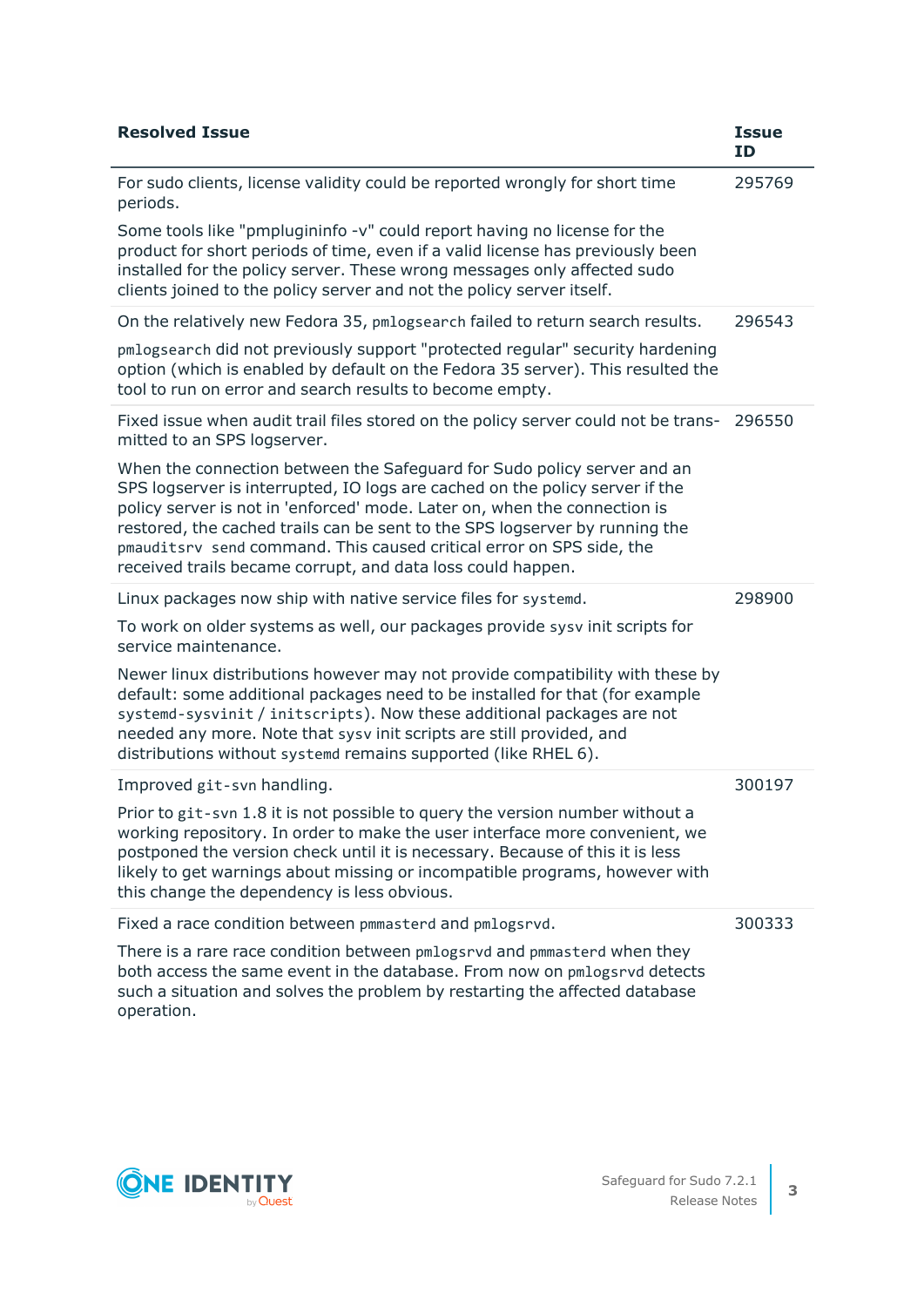| <b>Resolved Issue</b>                                                                                                                                                                                                                                                                                                                                                                                                                                      | <b>Issue</b><br><b>ID</b> |
|------------------------------------------------------------------------------------------------------------------------------------------------------------------------------------------------------------------------------------------------------------------------------------------------------------------------------------------------------------------------------------------------------------------------------------------------------------|---------------------------|
| For sudo clients, license validity could be reported wrongly for short time<br>periods.                                                                                                                                                                                                                                                                                                                                                                    | 295769                    |
| Some tools like "pmplugininfo -v" could report having no license for the<br>product for short periods of time, even if a valid license has previously been<br>installed for the policy server. These wrong messages only affected sudo<br>clients joined to the policy server and not the policy server itself.                                                                                                                                            |                           |
| On the relatively new Fedora 35, pmlogsearch failed to return search results.                                                                                                                                                                                                                                                                                                                                                                              | 296543                    |
| pmlogsearch did not previously support "protected regular" security hardening<br>option (which is enabled by default on the Fedora 35 server). This resulted the<br>tool to run on error and search results to become empty.                                                                                                                                                                                                                               |                           |
| Fixed issue when audit trail files stored on the policy server could not be trans-<br>mitted to an SPS logserver.                                                                                                                                                                                                                                                                                                                                          | 296550                    |
| When the connection between the Safeguard for Sudo policy server and an<br>SPS logserver is interrupted, IO logs are cached on the policy server if the<br>policy server is not in 'enforced' mode. Later on, when the connection is<br>restored, the cached trails can be sent to the SPS logserver by running the<br>pmauditsrv send command. This caused critical error on SPS side, the<br>received trails became corrupt, and data loss could happen. |                           |
| Linux packages now ship with native service files for systemd.                                                                                                                                                                                                                                                                                                                                                                                             | 298900                    |
| To work on older systems as well, our packages provide sysv init scripts for<br>service maintenance.                                                                                                                                                                                                                                                                                                                                                       |                           |
| Newer linux distributions however may not provide compatibility with these by<br>default: some additional packages need to be installed for that (for example<br>systemd-sysvinit / initscripts). Now these additional packages are not<br>needed any more. Note that sysv init scripts are still provided, and<br>distributions without systemd remains supported (like RHEL 6).                                                                          |                           |
| Improved git-svn handling.                                                                                                                                                                                                                                                                                                                                                                                                                                 | 300197                    |
| Prior to git-svn 1.8 it is not possible to query the version number without a<br>working repository. In order to make the user interface more convenient, we<br>postponed the version check until it is necessary. Because of this it is less<br>likely to get warnings about missing or incompatible programs, however with<br>this change the dependency is less obvious.                                                                                |                           |
| Fixed a race condition between pmmasterd and pmlogsrvd.                                                                                                                                                                                                                                                                                                                                                                                                    | 300333                    |
| There is a rare race condition between pmlogsrvd and pmmasterd when they<br>both access the same event in the database. From now on pmlogsrvd detects<br>such a situation and solves the problem by restarting the affected database                                                                                                                                                                                                                       |                           |

**ONE IDENTITY** 

operation.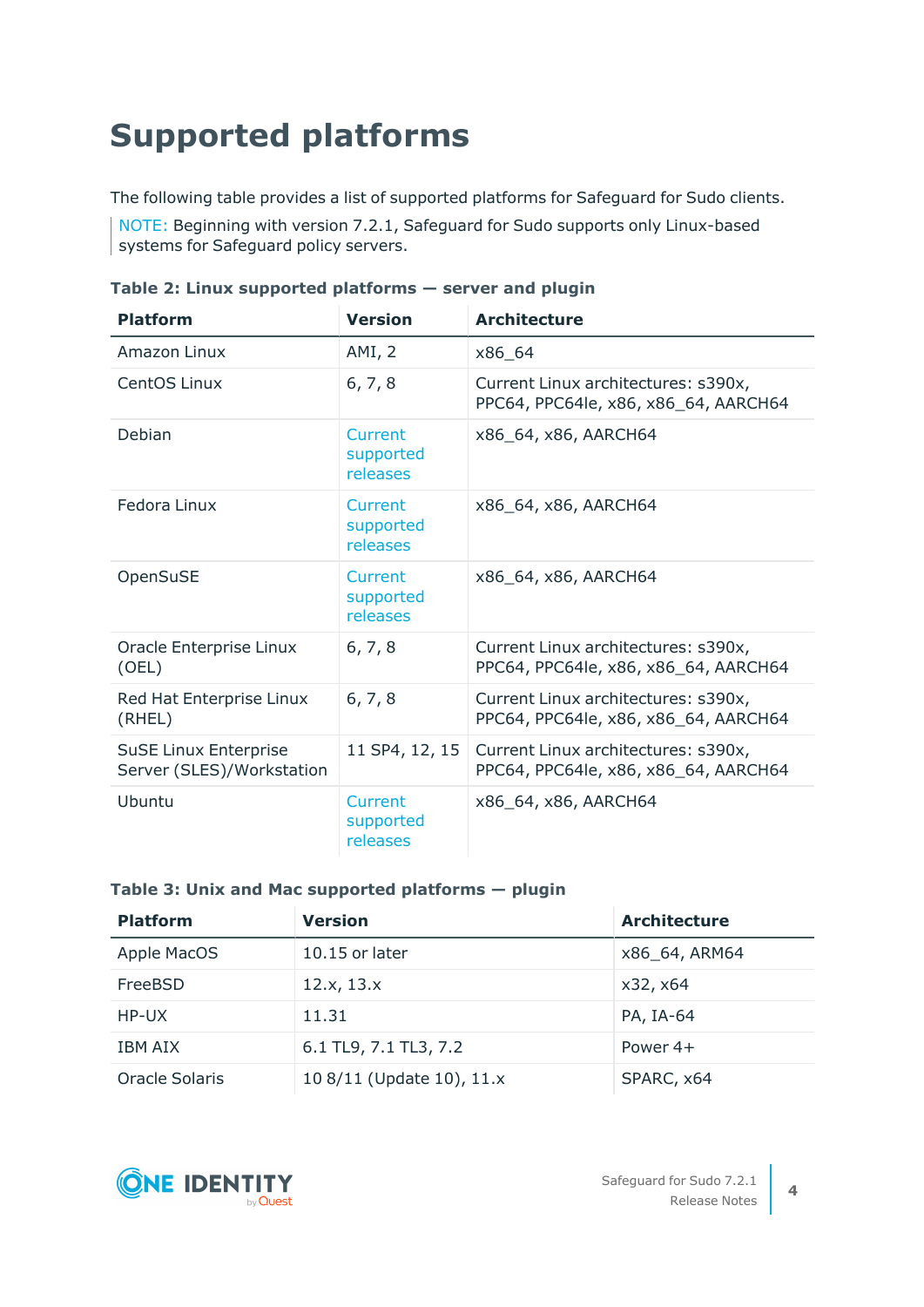# <span id="page-3-0"></span>**Supported platforms**

The following table provides a list of supported platforms for Safeguard for Sudo clients.

NOTE: Beginning with version 7.2.1, Safeguard for Sudo supports only Linux-based systems for Safeguard policy servers.

| <b>Platform</b>                                           | <b>Version</b>                   | <b>Architecture</b>                                                         |
|-----------------------------------------------------------|----------------------------------|-----------------------------------------------------------------------------|
| Amazon Linux                                              | AMI, 2                           | x86 64                                                                      |
| <b>CentOS Linux</b>                                       | 6, 7, 8                          | Current Linux architectures: s390x,<br>PPC64, PPC64le, x86, x86_64, AARCH64 |
| Debian                                                    | Current<br>supported<br>releases | x86_64, x86, AARCH64                                                        |
| Fedora Linux                                              | Current<br>supported<br>releases | x86 64, x86, AARCH64                                                        |
| OpenSuSE                                                  | Current<br>supported<br>releases | x86_64, x86, AARCH64                                                        |
| Oracle Enterprise Linux<br>(OEL)                          | 6, 7, 8                          | Current Linux architectures: s390x,<br>PPC64, PPC64le, x86, x86_64, AARCH64 |
| Red Hat Enterprise Linux<br>(RHEL)                        | 6, 7, 8                          | Current Linux architectures: s390x,<br>PPC64, PPC64le, x86, x86_64, AARCH64 |
| <b>SuSE Linux Enterprise</b><br>Server (SLES)/Workstation | 11 SP4, 12, 15                   | Current Linux architectures: s390x,<br>PPC64, PPC64le, x86, x86_64, AARCH64 |
| Ubuntu                                                    | Current<br>supported<br>releases | x86_64, x86, AARCH64                                                        |

**Table 2: Linux supported platforms — server and plugin**

### **Table 3: Unix and Mac supported platforms — plugin**

| <b>Platform</b> | <b>Version</b>            | <b>Architecture</b> |
|-----------------|---------------------------|---------------------|
| Apple MacOS     | $10.15$ or later          | x86 64, ARM64       |
| FreeBSD         | 12.x, 13.x                | x32, x64            |
| HP-UX           | 11.31                     | PA, IA-64           |
| IBM AIX         | 6.1 TL9, 7.1 TL3, 7.2     | Power $4+$          |
| Oracle Solaris  | 10 8/11 (Update 10), 11.x | SPARC, x64          |

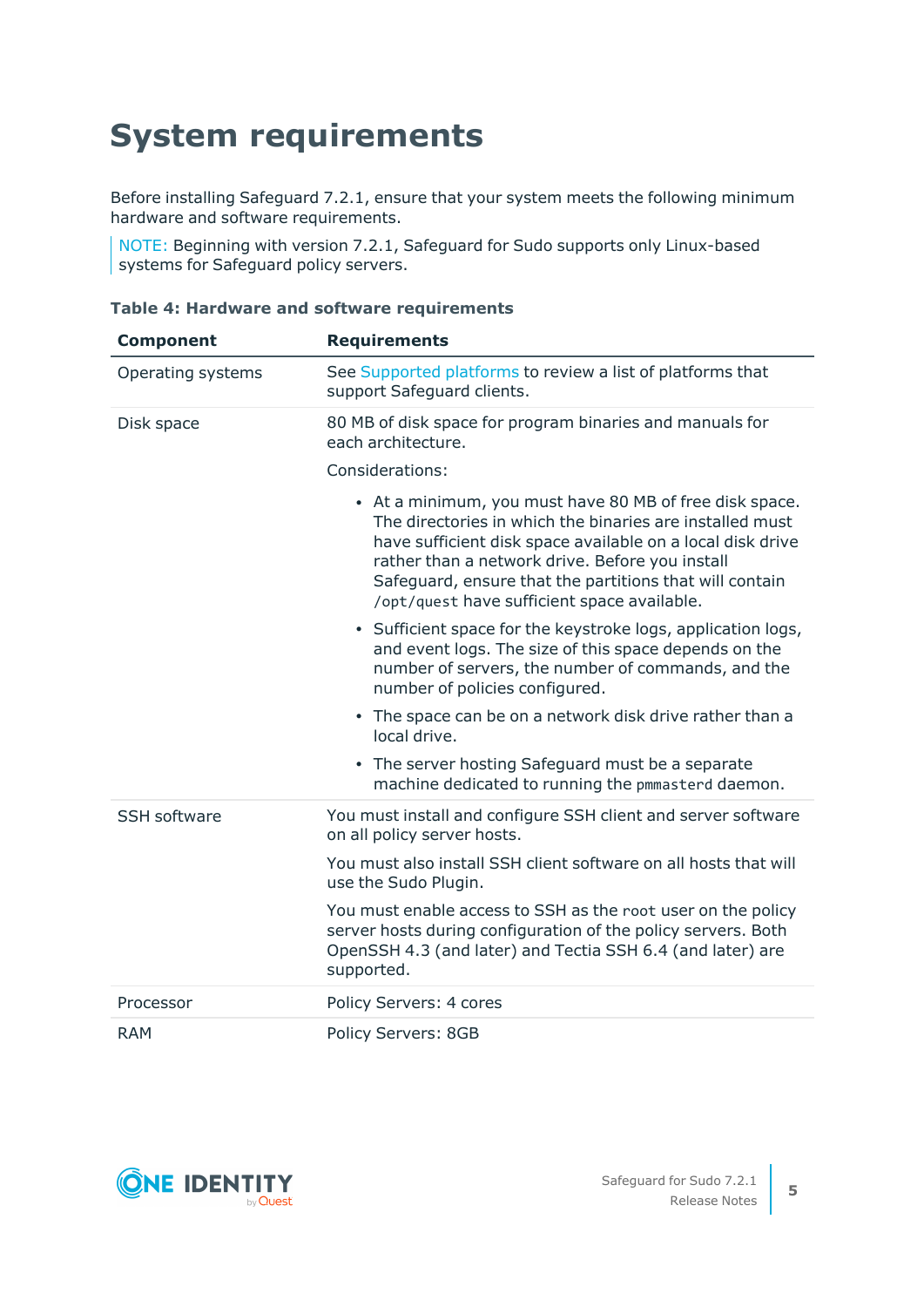# **System requirements**

Before installing Safeguard 7.2.1, ensure that your system meets the following minimum hardware and software requirements.

NOTE: Beginning with version 7.2.1, Safeguard for Sudo supports only Linux-based systems for Safeguard policy servers.

### **Table 4: Hardware and software requirements**

| <b>Component</b>    | <b>Requirements</b>                                                                                                                                                                                                                                                                                                                            |
|---------------------|------------------------------------------------------------------------------------------------------------------------------------------------------------------------------------------------------------------------------------------------------------------------------------------------------------------------------------------------|
| Operating systems   | See Supported platforms to review a list of platforms that<br>support Safeguard clients.                                                                                                                                                                                                                                                       |
| Disk space          | 80 MB of disk space for program binaries and manuals for<br>each architecture.                                                                                                                                                                                                                                                                 |
|                     | Considerations:                                                                                                                                                                                                                                                                                                                                |
|                     | • At a minimum, you must have 80 MB of free disk space.<br>The directories in which the binaries are installed must<br>have sufficient disk space available on a local disk drive<br>rather than a network drive. Before you install<br>Safeguard, ensure that the partitions that will contain<br>/opt/quest have sufficient space available. |
|                     | • Sufficient space for the keystroke logs, application logs,<br>and event logs. The size of this space depends on the<br>number of servers, the number of commands, and the<br>number of policies configured.                                                                                                                                  |
|                     | • The space can be on a network disk drive rather than a<br>local drive.                                                                                                                                                                                                                                                                       |
|                     | • The server hosting Safeguard must be a separate<br>machine dedicated to running the pmmasterd daemon.                                                                                                                                                                                                                                        |
| <b>SSH software</b> | You must install and configure SSH client and server software<br>on all policy server hosts.                                                                                                                                                                                                                                                   |
|                     | You must also install SSH client software on all hosts that will<br>use the Sudo Plugin.                                                                                                                                                                                                                                                       |
|                     | You must enable access to SSH as the root user on the policy<br>server hosts during configuration of the policy servers. Both<br>OpenSSH 4.3 (and later) and Tectia SSH 6.4 (and later) are<br>supported.                                                                                                                                      |
| Processor           | Policy Servers: 4 cores                                                                                                                                                                                                                                                                                                                        |
| <b>RAM</b>          | Policy Servers: 8GB                                                                                                                                                                                                                                                                                                                            |

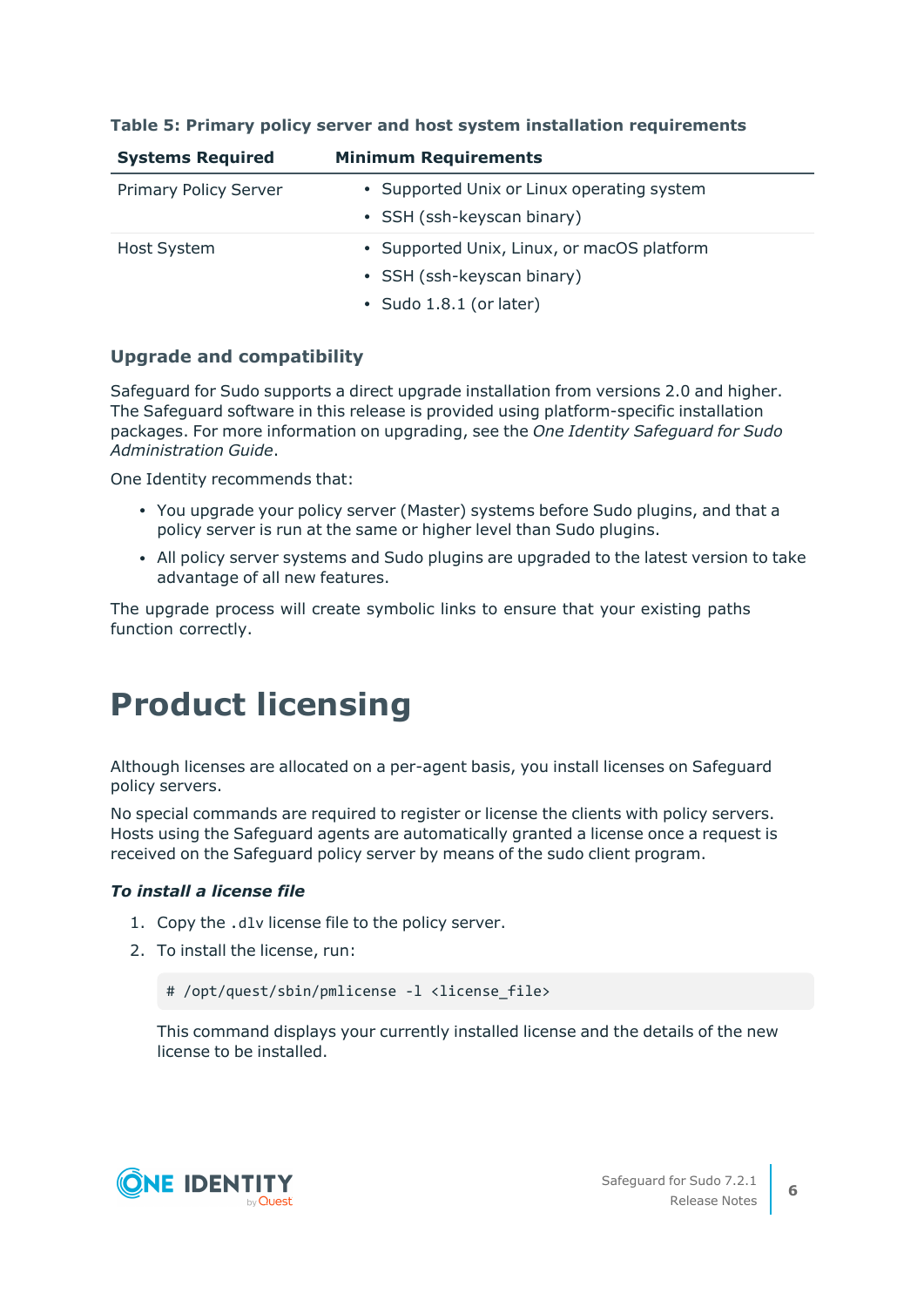| <b>Systems Required</b>      | <b>Minimum Requirements</b>                |
|------------------------------|--------------------------------------------|
| <b>Primary Policy Server</b> | • Supported Unix or Linux operating system |
|                              | • SSH (ssh-keyscan binary)                 |
| Host System                  | • Supported Unix, Linux, or macOS platform |
|                              | • SSH (ssh-keyscan binary)                 |
|                              | • Sudo 1.8.1 (or later)                    |

#### **Table 5: Primary policy server and host system installation requirements**

### **Upgrade and compatibility**

Safeguard for Sudo supports a direct upgrade installation from versions 2.0 and higher. The Safeguard software in this release is provided using platform-specific installation packages. For more information on upgrading, see the *One Identity Safeguard for Sudo Administration Guide*.

One Identity recommends that:

- You upgrade your policy server (Master) systems before Sudo plugins, and that a policy server is run at the same or higher level than Sudo plugins.
- All policy server systems and Sudo plugins are upgraded to the latest version to take advantage of all new features.

The upgrade process will create symbolic links to ensure that your existing paths function correctly.

## **Product licensing**

Although licenses are allocated on a per-agent basis, you install licenses on Safeguard policy servers.

No special commands are required to register or license the clients with policy servers. Hosts using the Safeguard agents are automatically granted a license once a request is received on the Safeguard policy server by means of the sudo client program.

#### *To install a license file*

- 1. Copy the .dlv license file to the policy server.
- 2. To install the license, run:

```
# /opt/quest/sbin/pmlicense -1 <license file>
```
This command displays your currently installed license and the details of the new license to be installed.

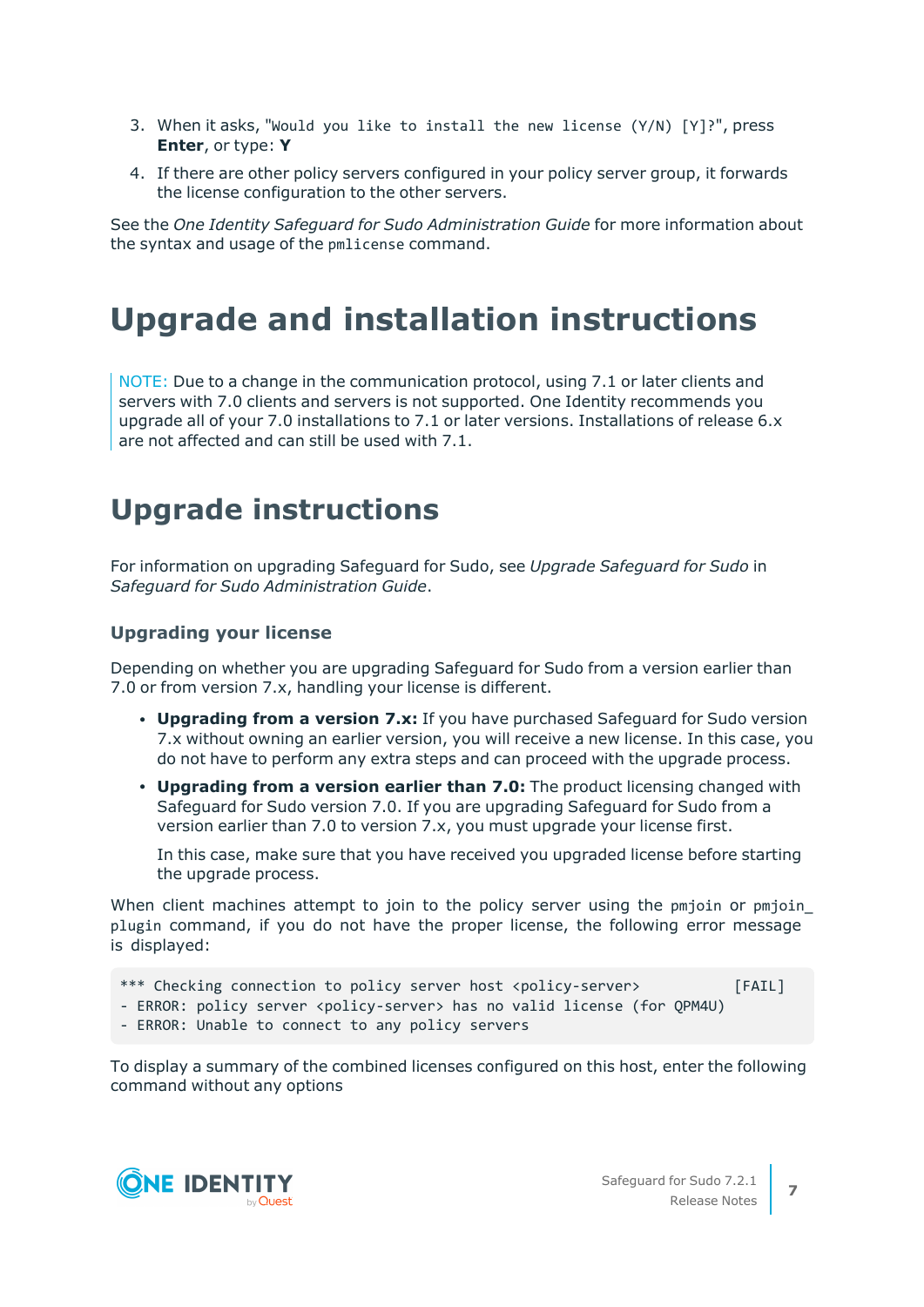- 3. When it asks, "Would you like to install the new license (Y/N) [Y]?", press **Enter**, or type: **Y**
- 4. If there are other policy servers configured in your policy server group, it forwards the license configuration to the other servers.

See the *One Identity Safeguard for Sudo Administration Guide* for more information about the syntax and usage of the pmlicense command.

### **Upgrade and installation instructions**

NOTE: Due to a change in the communication protocol, using 7.1 or later clients and servers with 7.0 clients and servers is not supported. One Identity recommends you upgrade all of your 7.0 installations to 7.1 or later versions. Installations of release 6.x are not affected and can still be used with 7.1.

### **Upgrade instructions**

For information on upgrading Safeguard for Sudo, see *Upgrade Safeguard for Sudo* in *Safeguard for Sudo Administration Guide*.

### **Upgrading your license**

Depending on whether you are upgrading Safeguard for Sudo from a version earlier than 7.0 or from version 7.x, handling your license is different.

- <sup>l</sup> **Upgrading from a version 7.x:** If you have purchased Safeguard for Sudo version 7.x without owning an earlier version, you will receive a new license. In this case, you do not have to perform any extra steps and can proceed with the upgrade process.
- <sup>l</sup> **Upgrading from a version earlier than 7.0:** The product licensing changed with Safeguard for Sudo version 7.0. If you are upgrading Safeguard for Sudo from a version earlier than 7.0 to version 7.x, you must upgrade your license first.

In this case, make sure that you have received you upgraded license before starting the upgrade process.

When client machines attempt to join to the policy server using the pmjoin or pmjoin plugin command, if you do not have the proper license, the following error message is displayed:

- \*\*\* Checking connection to policy server host <policy-server> [FAIL]
- ERROR: policy server <policy-server> has no valid license (for QPM4U)
- ERROR: Unable to connect to any policy servers

To display a summary of the combined licenses configured on this host, enter the following command without any options

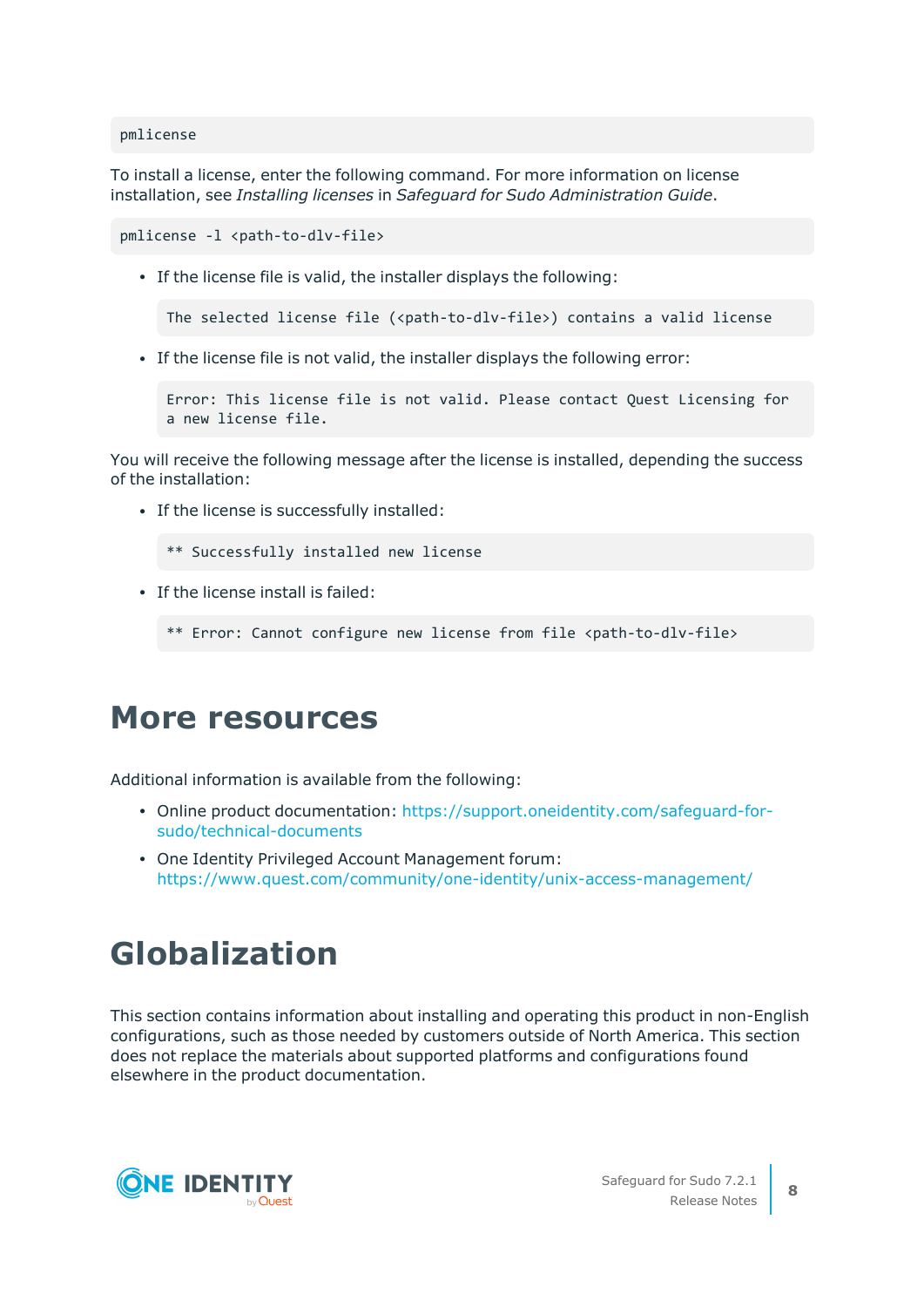pmlicense

To install a license, enter the following command. For more information on license installation, see *Installing licenses* in *Safeguard for Sudo Administration Guide*.

```
pmlicense -1 <path-to-dlv-file>
```
• If the license file is valid, the installer displays the following:

The selected license file (<path-to-dlv-file>) contains a valid license

• If the license file is not valid, the installer displays the following error:

```
Error: This license file is not valid. Please contact Quest Licensing for
a new license file.
```
You will receive the following message after the license is installed, depending the success of the installation:

• If the license is successfully installed:

```
** Successfully installed new license
```
 $\cdot$  If the license install is failed:

```
** Error: Cannot configure new license from file <path-to-dlv-file>
```
### **More resources**

Additional information is available from the following:

- Online product documentation: [https://support.oneidentity.com/safeguard-for](https://support.oneidentity.com/privilege-manager-for-sudo/technical-documents)[sudo/technical-documents](https://support.oneidentity.com/privilege-manager-for-sudo/technical-documents)
- One Identity Privileged Account Management forum: <https://www.quest.com/community/one-identity/unix-access-management/>

### **Globalization**

This section contains information about installing and operating this product in non-English configurations, such as those needed by customers outside of North America. This section does not replace the materials about supported platforms and configurations found elsewhere in the product documentation.

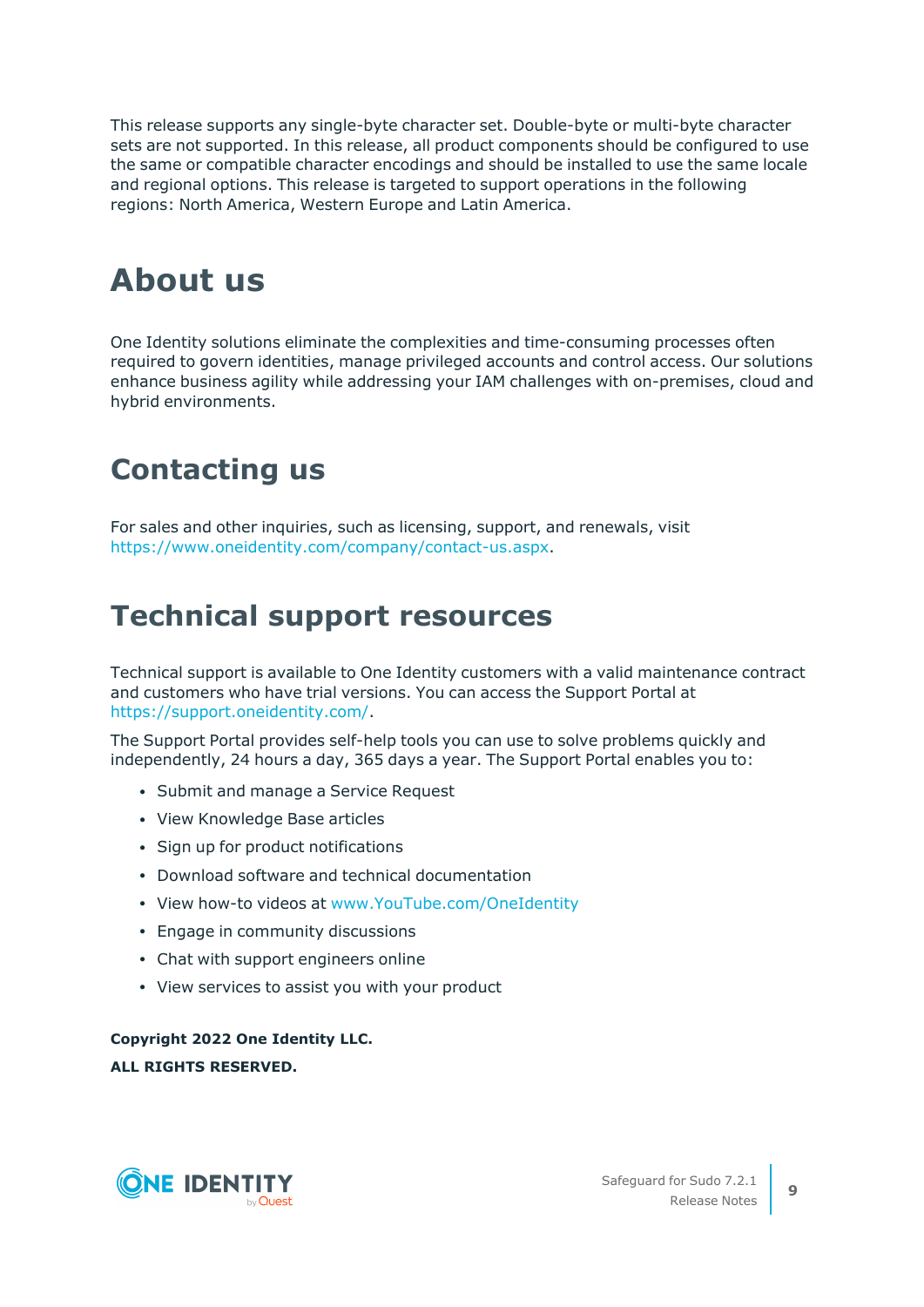This release supports any single-byte character set. Double-byte or multi-byte character sets are not supported. In this release, all product components should be configured to use the same or compatible character encodings and should be installed to use the same locale and regional options. This release is targeted to support operations in the following regions: North America, Western Europe and Latin America.

## **About us**

One Identity solutions eliminate the complexities and time-consuming processes often required to govern identities, manage privileged accounts and control access. Our solutions enhance business agility while addressing your IAM challenges with on-premises, cloud and hybrid environments.

### **Contacting us**

For sales and other inquiries, such as licensing, support, and renewals, visit [https://www.oneidentity.com/company/contact-us.aspx.](https://www.oneidentity.com/company/contact-us.aspx)

### **Technical support resources**

Technical support is available to One Identity customers with a valid maintenance contract and customers who have trial versions. You can access the Support Portal at [https://support.oneidentity.com/.](https://support.oneidentity.com/)

The Support Portal provides self-help tools you can use to solve problems quickly and independently, 24 hours a day, 365 days a year. The Support Portal enables you to:

- Submit and manage a Service Request
- View Knowledge Base articles
- Sign up for product notifications
- Download software and technical documentation
- View how-to videos at [www.YouTube.com/OneIdentity](http://www.youtube.com/OneIdentity)
- Engage in community discussions
- Chat with support engineers online
- View services to assist you with your product

**Copyright 2022 One Identity LLC. ALL RIGHTS RESERVED.**

**ONE IDENTITY**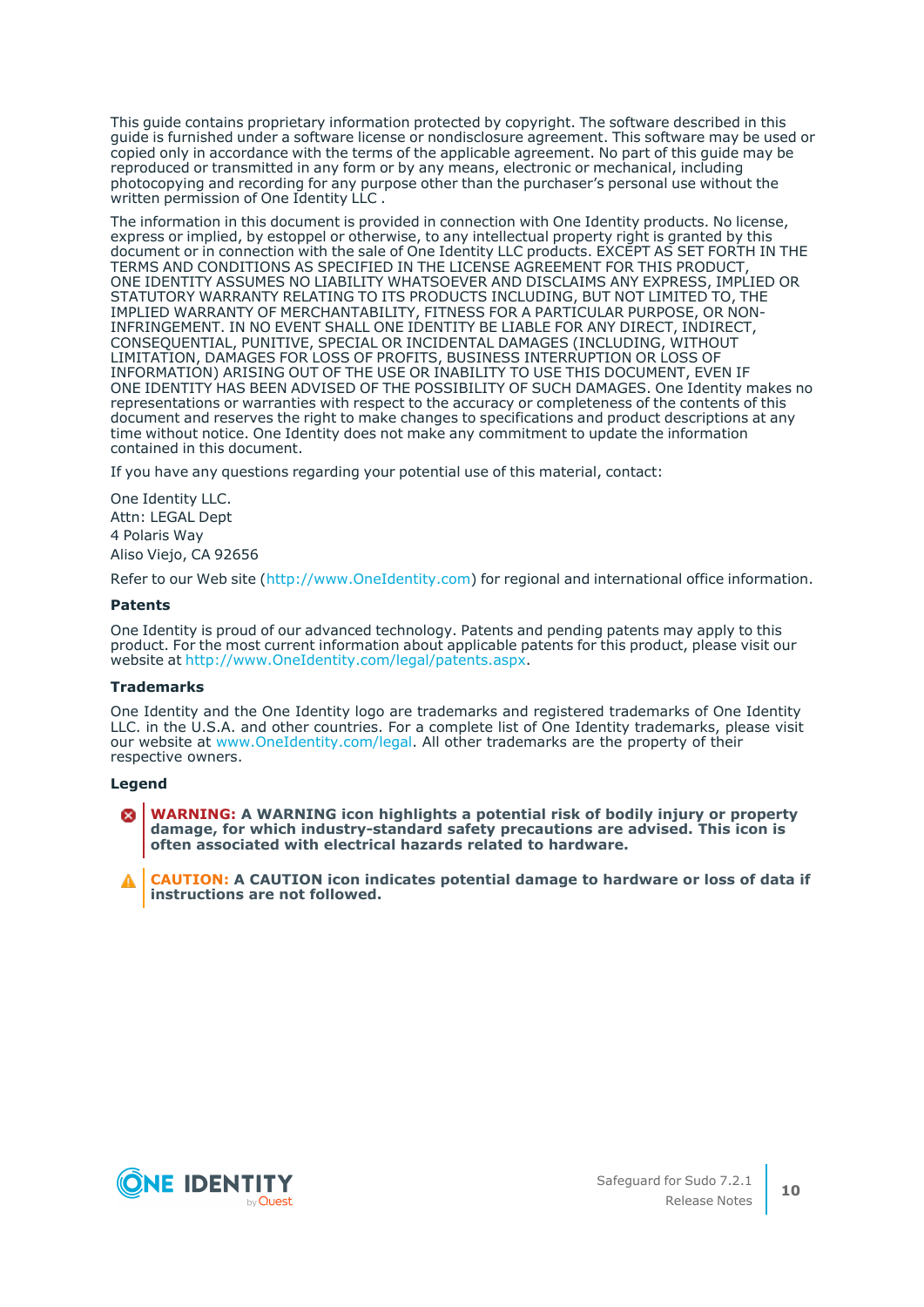This guide contains proprietary information protected by copyright. The software described in this guide is furnished under a software license or nondisclosure agreement. This software may be used or copied only in accordance with the terms of the applicable agreement. No part of this guide may be reproduced or transmitted in any form or by any means, electronic or mechanical, including photocopying and recording for any purpose other than the purchaser's personal use without the written permission of One Identity LLC .

The information in this document is provided in connection with One Identity products. No license, express or implied, by estoppel or otherwise, to any intellectual property right is granted by this document or in connection with the sale of One Identity LLC products. EXCEPT AS SET FORTH IN THE TERMS AND CONDITIONS AS SPECIFIED IN THE LICENSE AGREEMENT FOR THIS PRODUCT, ONE IDENTITY ASSUMES NO LIABILITY WHATSOEVER AND DISCLAIMS ANY EXPRESS, IMPLIED OR STATUTORY WARRANTY RELATING TO ITS PRODUCTS INCLUDING, BUT NOT LIMITED TO, THE IMPLIED WARRANTY OF MERCHANTABILITY, FITNESS FOR A PARTICULAR PURPOSE, OR NON-INFRINGEMENT. IN NO EVENT SHALL ONE IDENTITY BE LIABLE FOR ANY DIRECT, INDIRECT, CONSEQUENTIAL, PUNITIVE, SPECIAL OR INCIDENTAL DAMAGES (INCLUDING, WITHOUT LIMITATION, DAMAGES FOR LOSS OF PROFITS, BUSINESS INTERRUPTION OR LOSS OF INFORMATION) ARISING OUT OF THE USE OR INABILITY TO USE THIS DOCUMENT, EVEN IF ONE IDENTITY HAS BEEN ADVISED OF THE POSSIBILITY OF SUCH DAMAGES. One Identity makes no representations or warranties with respect to the accuracy or completeness of the contents of this document and reserves the right to make changes to specifications and product descriptions at any time without notice. One Identity does not make any commitment to update the information contained in this document.

If you have any questions regarding your potential use of this material, contact:

One Identity LLC. Attn: LEGAL Dept 4 Polaris Way Aliso Viejo, CA 92656

Refer to our Web site ([http://www.OneIdentity.com](http://www.oneidentity.com/)) for regional and international office information.

#### **Patents**

One Identity is proud of our advanced technology. Patents and pending patents may apply to this product. For the most current information about applicable patents for this product, please visit our website at [http://www.OneIdentity.com/legal/patents.aspx.](http://www.oneidentity.com/legal/patents.aspx)

#### **Trademarks**

One Identity and the One Identity logo are trademarks and registered trademarks of One Identity LLC. in the U.S.A. and other countries. For a complete list of One Identity trademarks, please visit our website at [www.OneIdentity.com/legal.](http://www.oneidentity.com/legal) All other trademarks are the property of their respective owners.

#### **Legend**

**WARNING: A WARNING icon highlights a potential risk of bodily injury or property damage, for which industry-standard safety precautions are advised. This icon is often associated with electrical hazards related to hardware.**

**CAUTION: A CAUTION icon indicates potential damage to hardware or loss of data if instructions are not followed.**

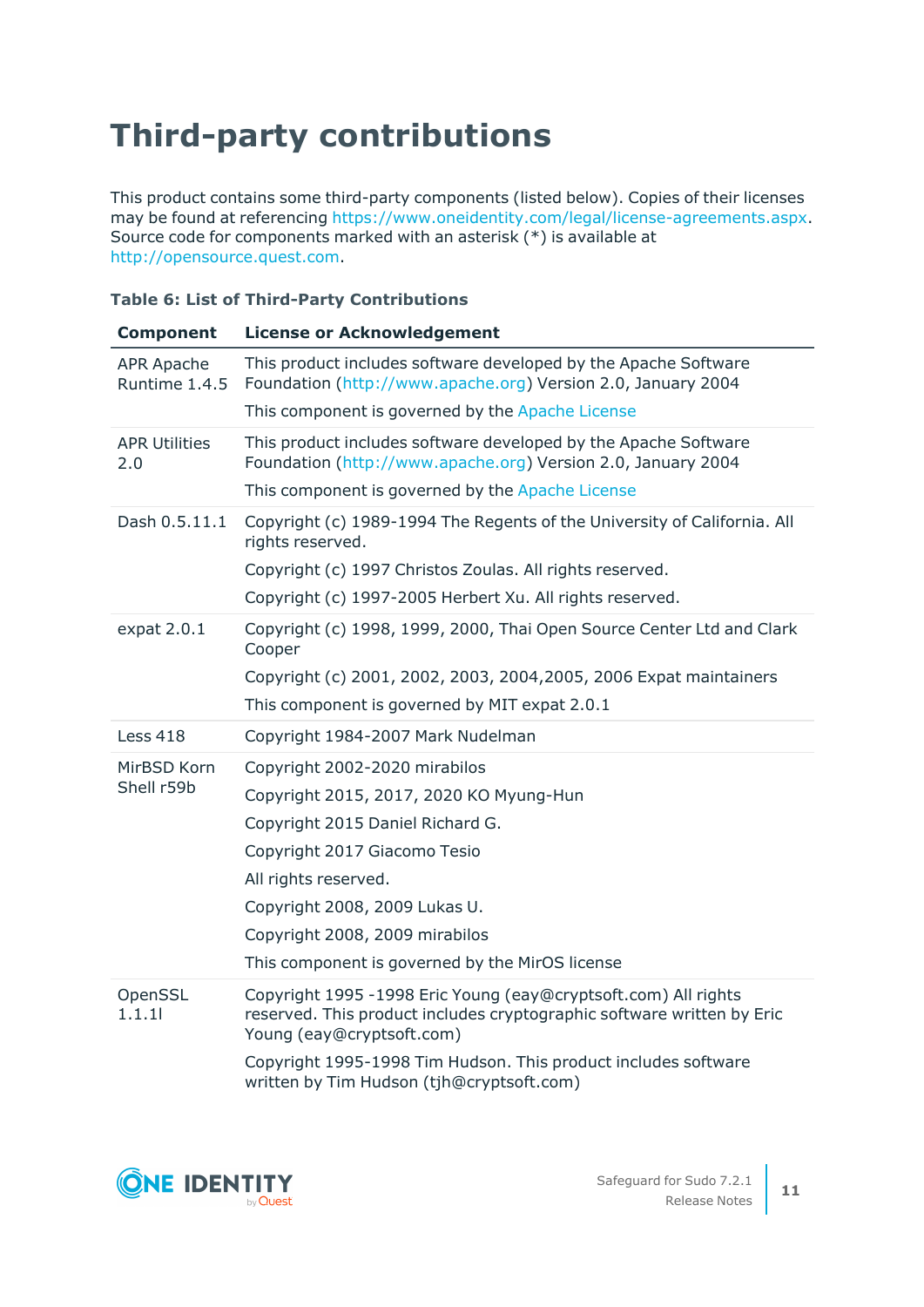# **Third-party contributions**

This product contains some third-party components (listed below). Copies of their licenses may be found at referencing <https://www.oneidentity.com/legal/license-agreements.aspx>. Source code for components marked with an asterisk (\*) is available at [http://opensource.quest.com.](http://opensource.quest.com/)

|  |  |  |  | <b>Table 6: List of Third-Party Contributions</b> |
|--|--|--|--|---------------------------------------------------|
|--|--|--|--|---------------------------------------------------|

| <b>Component</b>                   | <b>License or Acknowledgement</b>                                                                                                                                     |
|------------------------------------|-----------------------------------------------------------------------------------------------------------------------------------------------------------------------|
| <b>APR Apache</b><br>Runtime 1.4.5 | This product includes software developed by the Apache Software<br>Foundation (http://www.apache.org) Version 2.0, January 2004                                       |
|                                    | This component is governed by the Apache License                                                                                                                      |
| <b>APR Utilities</b><br>2.0        | This product includes software developed by the Apache Software<br>Foundation (http://www.apache.org) Version 2.0, January 2004                                       |
|                                    | This component is governed by the Apache License                                                                                                                      |
| Dash 0.5.11.1                      | Copyright (c) 1989-1994 The Regents of the University of California. All<br>rights reserved.                                                                          |
|                                    | Copyright (c) 1997 Christos Zoulas. All rights reserved.                                                                                                              |
|                                    | Copyright (c) 1997-2005 Herbert Xu. All rights reserved.                                                                                                              |
| expat 2.0.1                        | Copyright (c) 1998, 1999, 2000, Thai Open Source Center Ltd and Clark<br>Cooper                                                                                       |
|                                    | Copyright (c) 2001, 2002, 2003, 2004, 2005, 2006 Expat maintainers                                                                                                    |
|                                    | This component is governed by MIT expat 2.0.1                                                                                                                         |
| <b>Less 418</b>                    | Copyright 1984-2007 Mark Nudelman                                                                                                                                     |
| MirBSD Korn                        | Copyright 2002-2020 mirabilos                                                                                                                                         |
| Shell r59b                         | Copyright 2015, 2017, 2020 KO Myung-Hun                                                                                                                               |
|                                    | Copyright 2015 Daniel Richard G.                                                                                                                                      |
|                                    | Copyright 2017 Giacomo Tesio                                                                                                                                          |
|                                    | All rights reserved.                                                                                                                                                  |
|                                    | Copyright 2008, 2009 Lukas U.                                                                                                                                         |
|                                    | Copyright 2008, 2009 mirabilos                                                                                                                                        |
|                                    | This component is governed by the MirOS license                                                                                                                       |
| OpenSSL<br>1.1.1                   | Copyright 1995 -1998 Eric Young (eay@cryptsoft.com) All rights<br>reserved. This product includes cryptographic software written by Eric<br>Young (eay@cryptsoft.com) |
|                                    | Copyright 1995-1998 Tim Hudson. This product includes software<br>written by Tim Hudson (tjh@cryptsoft.com)                                                           |

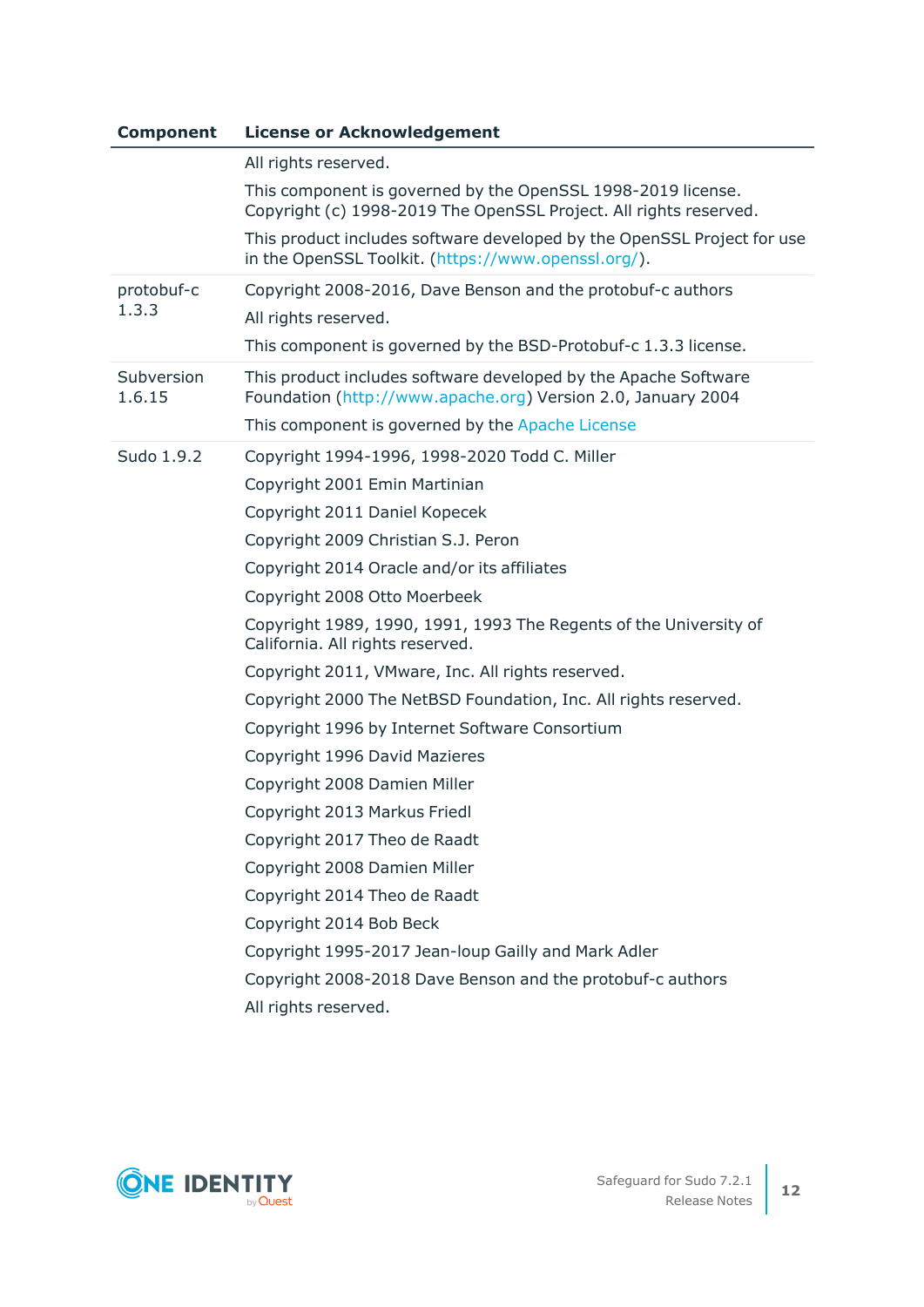| <b>Component</b>     | <b>License or Acknowledgement</b>                                                                                                 |
|----------------------|-----------------------------------------------------------------------------------------------------------------------------------|
|                      | All rights reserved.                                                                                                              |
|                      | This component is governed by the OpenSSL 1998-2019 license.<br>Copyright (c) 1998-2019 The OpenSSL Project. All rights reserved. |
|                      | This product includes software developed by the OpenSSL Project for use<br>in the OpenSSL Toolkit. (https://www.openssl.org/).    |
| protobuf-c           | Copyright 2008-2016, Dave Benson and the protobuf-c authors                                                                       |
| 1.3.3                | All rights reserved.                                                                                                              |
|                      | This component is governed by the BSD-Protobuf-c 1.3.3 license.                                                                   |
| Subversion<br>1.6.15 | This product includes software developed by the Apache Software<br>Foundation (http://www.apache.org) Version 2.0, January 2004   |
|                      | This component is governed by the Apache License                                                                                  |
| Sudo 1.9.2           | Copyright 1994-1996, 1998-2020 Todd C. Miller                                                                                     |
|                      | Copyright 2001 Emin Martinian                                                                                                     |
|                      | Copyright 2011 Daniel Kopecek                                                                                                     |
|                      | Copyright 2009 Christian S.J. Peron                                                                                               |
|                      | Copyright 2014 Oracle and/or its affiliates                                                                                       |
|                      | Copyright 2008 Otto Moerbeek                                                                                                      |
|                      | Copyright 1989, 1990, 1991, 1993 The Regents of the University of<br>California. All rights reserved.                             |
|                      | Copyright 2011, VMware, Inc. All rights reserved.                                                                                 |
|                      | Copyright 2000 The NetBSD Foundation, Inc. All rights reserved.                                                                   |
|                      | Copyright 1996 by Internet Software Consortium                                                                                    |
|                      | Copyright 1996 David Mazieres                                                                                                     |
|                      | Copyright 2008 Damien Miller                                                                                                      |
|                      | Copyright 2013 Markus Friedl                                                                                                      |
|                      | Copyright 2017 Theo de Raadt                                                                                                      |
|                      | Copyright 2008 Damien Miller                                                                                                      |
|                      | Copyright 2014 Theo de Raadt                                                                                                      |
|                      | Copyright 2014 Bob Beck                                                                                                           |
|                      | Copyright 1995-2017 Jean-loup Gailly and Mark Adler                                                                               |
|                      | Copyright 2008-2018 Dave Benson and the protobuf-c authors                                                                        |
|                      | All rights reserved.                                                                                                              |

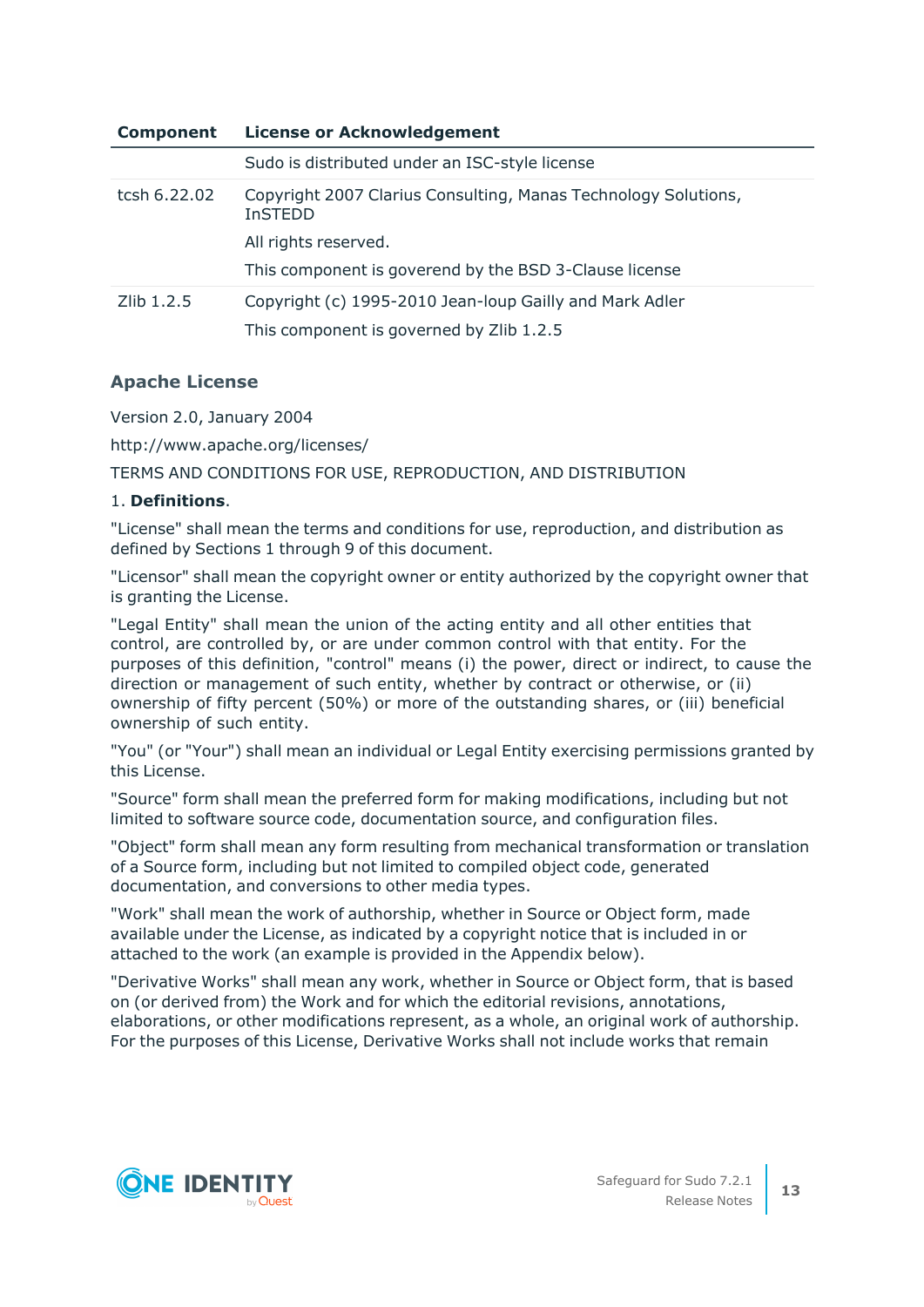| <b>Component</b> | <b>License or Acknowledgement</b>                                                |  |  |
|------------------|----------------------------------------------------------------------------------|--|--|
|                  | Sudo is distributed under an ISC-style license                                   |  |  |
| tcsh 6.22.02     | Copyright 2007 Clarius Consulting, Manas Technology Solutions,<br><b>InSTEDD</b> |  |  |
|                  | All rights reserved.                                                             |  |  |
|                  | This component is goverend by the BSD 3-Clause license                           |  |  |
| Zlib 1.2.5       | Copyright (c) 1995-2010 Jean-loup Gailly and Mark Adler                          |  |  |
|                  | This component is governed by Zlib 1.2.5                                         |  |  |

### <span id="page-12-0"></span>**Apache License**

Version 2.0, January 2004

http://www.apache.org/licenses/

TERMS AND CONDITIONS FOR USE, REPRODUCTION, AND DISTRIBUTION

### 1. **Definitions**.

"License" shall mean the terms and conditions for use, reproduction, and distribution as defined by Sections 1 through 9 of this document.

"Licensor" shall mean the copyright owner or entity authorized by the copyright owner that is granting the License.

"Legal Entity" shall mean the union of the acting entity and all other entities that control, are controlled by, or are under common control with that entity. For the purposes of this definition, "control" means (i) the power, direct or indirect, to cause the direction or management of such entity, whether by contract or otherwise, or (ii) ownership of fifty percent (50%) or more of the outstanding shares, or (iii) beneficial ownership of such entity.

"You" (or "Your") shall mean an individual or Legal Entity exercising permissions granted by this License.

"Source" form shall mean the preferred form for making modifications, including but not limited to software source code, documentation source, and configuration files.

"Object" form shall mean any form resulting from mechanical transformation or translation of a Source form, including but not limited to compiled object code, generated documentation, and conversions to other media types.

"Work" shall mean the work of authorship, whether in Source or Object form, made available under the License, as indicated by a copyright notice that is included in or attached to the work (an example is provided in the Appendix below).

"Derivative Works" shall mean any work, whether in Source or Object form, that is based on (or derived from) the Work and for which the editorial revisions, annotations, elaborations, or other modifications represent, as a whole, an original work of authorship. For the purposes of this License, Derivative Works shall not include works that remain

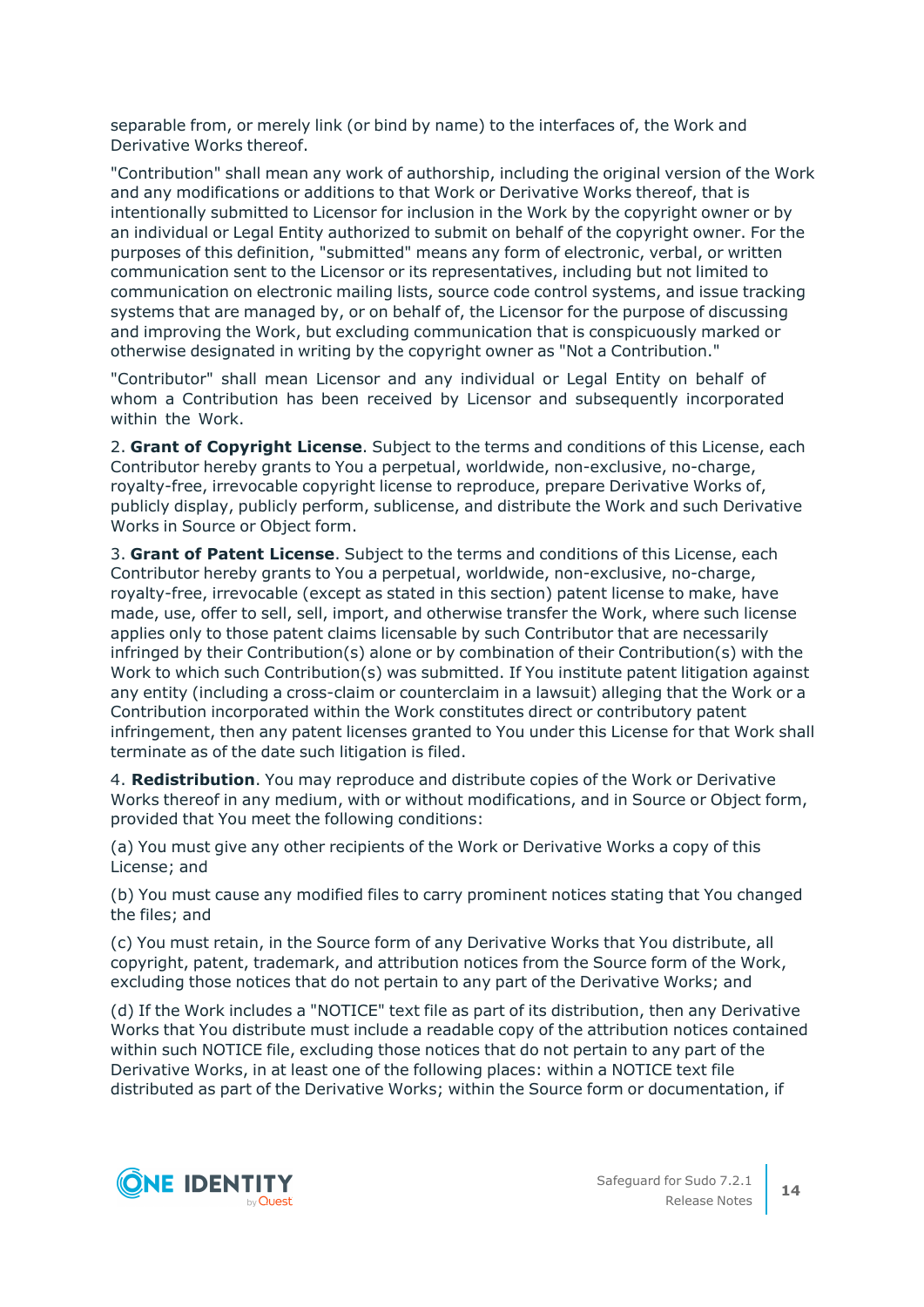separable from, or merely link (or bind by name) to the interfaces of, the Work and Derivative Works thereof.

"Contribution" shall mean any work of authorship, including the original version of the Work and any modifications or additions to that Work or Derivative Works thereof, that is intentionally submitted to Licensor for inclusion in the Work by the copyright owner or by an individual or Legal Entity authorized to submit on behalf of the copyright owner. For the purposes of this definition, "submitted" means any form of electronic, verbal, or written communication sent to the Licensor or its representatives, including but not limited to communication on electronic mailing lists, source code control systems, and issue tracking systems that are managed by, or on behalf of, the Licensor for the purpose of discussing and improving the Work, but excluding communication that is conspicuously marked or otherwise designated in writing by the copyright owner as "Not a Contribution."

"Contributor" shall mean Licensor and any individual or Legal Entity on behalf of whom a Contribution has been received by Licensor and subsequently incorporated within the Work.

2. **Grant of Copyright License**. Subject to the terms and conditions of this License, each Contributor hereby grants to You a perpetual, worldwide, non-exclusive, no-charge, royalty-free, irrevocable copyright license to reproduce, prepare Derivative Works of, publicly display, publicly perform, sublicense, and distribute the Work and such Derivative Works in Source or Object form.

3. **Grant of Patent License**. Subject to the terms and conditions of this License, each Contributor hereby grants to You a perpetual, worldwide, non-exclusive, no-charge, royalty-free, irrevocable (except as stated in this section) patent license to make, have made, use, offer to sell, sell, import, and otherwise transfer the Work, where such license applies only to those patent claims licensable by such Contributor that are necessarily infringed by their Contribution(s) alone or by combination of their Contribution(s) with the Work to which such Contribution(s) was submitted. If You institute patent litigation against any entity (including a cross-claim or counterclaim in a lawsuit) alleging that the Work or a Contribution incorporated within the Work constitutes direct or contributory patent infringement, then any patent licenses granted to You under this License for that Work shall terminate as of the date such litigation is filed.

4. **Redistribution**. You may reproduce and distribute copies of the Work or Derivative Works thereof in any medium, with or without modifications, and in Source or Object form, provided that You meet the following conditions:

(a) You must give any other recipients of the Work or Derivative Works a copy of this License; and

(b) You must cause any modified files to carry prominent notices stating that You changed the files; and

(c) You must retain, in the Source form of any Derivative Works that You distribute, all copyright, patent, trademark, and attribution notices from the Source form of the Work, excluding those notices that do not pertain to any part of the Derivative Works; and

(d) If the Work includes a "NOTICE" text file as part of its distribution, then any Derivative Works that You distribute must include a readable copy of the attribution notices contained within such NOTICE file, excluding those notices that do not pertain to any part of the Derivative Works, in at least one of the following places: within a NOTICE text file distributed as part of the Derivative Works; within the Source form or documentation, if